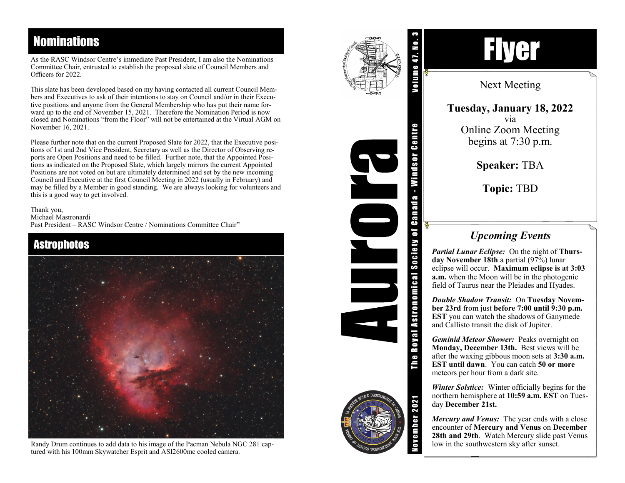## **Nominations**

As the RASC Windsor Centre 's immediate Past President, I am also the Nominations Committee Chair, entrusted to establish the proposed slate of Council Members and Officers for 2022.

This slate has been developed based on my having contacted all current Council Members and Executives to ask of their intentions to stay on Council and/or in their Executive positions and anyone from the General Membership who has put their name forward up to the end of November 15, 2021. Therefore the Nomination Period is now closed and Nominations "from the Floor" will not be entertained at the Virtual AGM on November 16, 2021.

Please further note that on the current Proposed Slate for 2022, that the Executive positions of 1st and 2nd Vice President, Secretary as well as the Director of Observing reports are Open Positions and need to be filled. Further note, that the Appointed Positions as indicated on the Proposed Slate, which largely mirrors the current Appointed Positions are not voted on but are ultimately determined and set by the new incoming Council and Executive at the first Council Meeting in 2022 (usually in February) and may be filled by a Member in good standing. We are always looking for volunteers and this is a good way to get involved.

Thank you, Michael Mastronardi Past President - RASC Windsor Centre / Nominations Committee Chair"



Randy Drum continues to add data to his image of the Pacman Nebula NGC 281 captured with his 100mm Skywatcher Esprit and ASI2600mc cooled camera.



The Royal Astronomical Society of Canada - Windsor Centre

Royal Astronomical Society of Canada

The I



Next Meeting

**Tuesday, January 18, 2022** via Online Zoom Meeting begins at 7 : 30 p.m.

**Speaker:** TBA

**Topic:** TBD

## *Upcoming Events*

*Partial Lunar Eclipse:* On the night of **Thursday November 18th** a partial (97%) lunar eclipse will occur. **Maximum eclipse is at 3:03 a.m.** when the Moon will be in the photogenic field of Taurus near the Pleiades and Hyades.

*Double Shadow Transit:* On **Tuesday November 23rd** from just **before 7:00 until 9:30 p.m. EST** you can watch the shadows of Ganymede and Callisto transit the disk of Jupiter.

*Geminid Meteor Shower:* Peaks overnight on **Monday, December 13th.** Best views will be after the waxing gibbous moon sets at **3:30 a.m. EST until dawn**. You can catch **50 or more** meteors per hour from a dark site.

*Winter Solstice:* Winter officially begins for the northern hemisphere at **10:59 a.m. EST** on Tuesday **December 21st.**

*Mercury and Venus:* The year ends with a close encounter of **Mercury and Venus** on **December 28th and 29th**. Watch Mercury slide past Venus low in the southwestern sky after sunset.